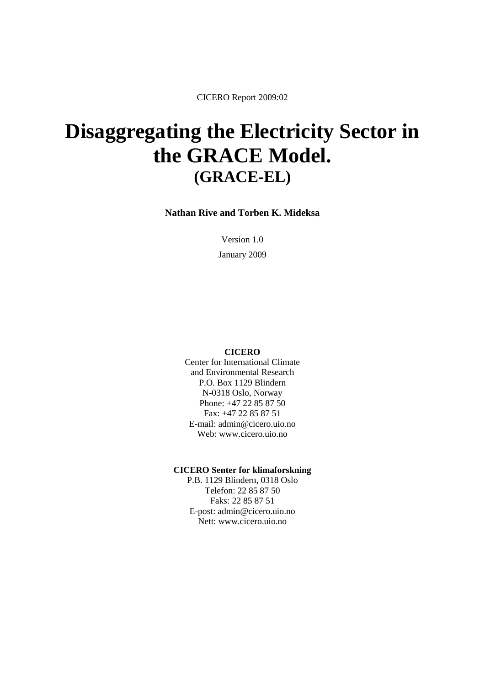CICERO Report 2009:02

# **Disaggregating the Electricity Sector in the GRACE Model. (GRACE-EL)**

**Nathan Rive and Torben K. Mideksa**

Version 1.0 January 2009

#### **CICERO**

Center for International Climate and Environmental Research P.O. Box 1129 Blindern N-0318 Oslo, Norway Phone: +47 22 85 87 50 Fax: +47 22 85 87 51 E-mail: admin@cicero.uio.no Web: www.cicero.uio.no

#### **CICERO Senter for klimaforskning**

P.B. 1129 Blindern, 0318 Oslo Telefon: 22 85 87 50 Faks: 22 85 87 51 E-post: admin@cicero.uio.no Nett: www.cicero.uio.no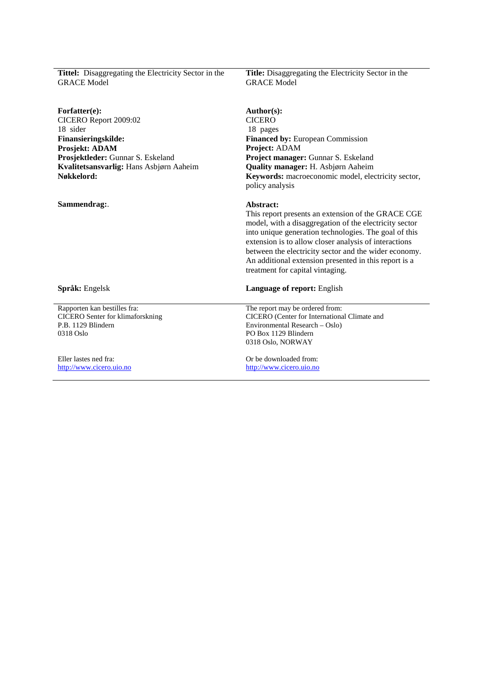| <b>Tittel:</b> Disaggregating the Electricity Sector in the<br><b>GRACE Model</b> | <b>Title:</b> Disaggregating the Electricity Sector in the<br><b>GRACE Model</b>                                                                                                                                                                                                                                                                                                                  |
|-----------------------------------------------------------------------------------|---------------------------------------------------------------------------------------------------------------------------------------------------------------------------------------------------------------------------------------------------------------------------------------------------------------------------------------------------------------------------------------------------|
| Forfatter(e):<br>CICERO Report 2009:02                                            | Author(s):<br><b>CICERO</b>                                                                                                                                                                                                                                                                                                                                                                       |
| 18 sider                                                                          | 18 pages                                                                                                                                                                                                                                                                                                                                                                                          |
| Finansieringskilde:                                                               | <b>Financed by: European Commission</b>                                                                                                                                                                                                                                                                                                                                                           |
| Prosjekt: ADAM                                                                    | Project: ADAM                                                                                                                                                                                                                                                                                                                                                                                     |
| Prosjektleder: Gunnar S. Eskeland                                                 | Project manager: Gunnar S. Eskeland                                                                                                                                                                                                                                                                                                                                                               |
| Kvalitetsansvarlig: Hans Asbjørn Aaheim                                           | Quality manager: H. Asbjørn Aaheim                                                                                                                                                                                                                                                                                                                                                                |
| Nøkkelord:                                                                        | Keywords: macroeconomic model, electricity sector,<br>policy analysis                                                                                                                                                                                                                                                                                                                             |
| Sammendrag:.                                                                      | Abstract:<br>This report presents an extension of the GRACE CGE<br>model, with a disaggregation of the electricity sector<br>into unique generation technologies. The goal of this<br>extension is to allow closer analysis of interactions<br>between the electricity sector and the wider economy.<br>An additional extension presented in this report is a<br>treatment for capital vintaging. |
| Språk: Engelsk                                                                    | Language of report: English                                                                                                                                                                                                                                                                                                                                                                       |
| Rapporten kan bestilles fra:                                                      | The report may be ordered from:                                                                                                                                                                                                                                                                                                                                                                   |
| <b>CICERO</b> Senter for klimaforskning<br>P.B. 1129 Blindern                     | CICERO (Center for International Climate and<br>Environmental Research – Oslo)                                                                                                                                                                                                                                                                                                                    |
| 0318 Oslo                                                                         | PO Box 1129 Blindern                                                                                                                                                                                                                                                                                                                                                                              |
|                                                                                   | 0318 Oslo, NORWAY                                                                                                                                                                                                                                                                                                                                                                                 |
| Eller lastes ned fra:                                                             | Or be downloaded from:                                                                                                                                                                                                                                                                                                                                                                            |
| http://www.cicero.uio.no                                                          | http://www.cicero.uio.no                                                                                                                                                                                                                                                                                                                                                                          |
|                                                                                   |                                                                                                                                                                                                                                                                                                                                                                                                   |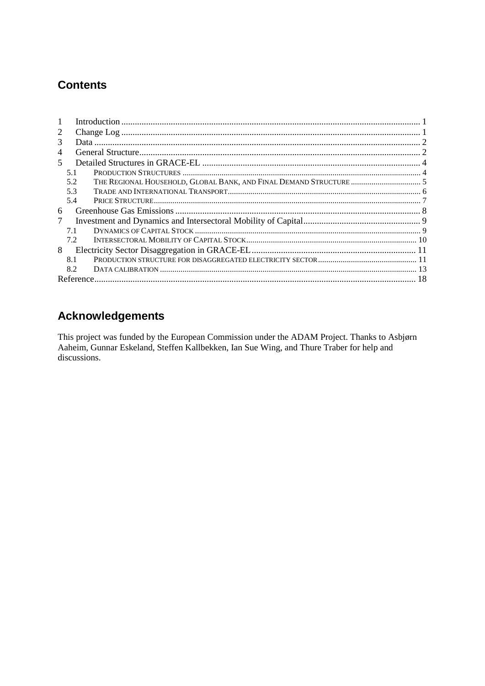# **Contents**

| 2 |     |  |
|---|-----|--|
| 3 |     |  |
| 4 |     |  |
| 5 |     |  |
|   | 5.1 |  |
|   | 5.2 |  |
|   | 5.3 |  |
|   | 5.4 |  |
| 6 |     |  |
| 7 |     |  |
|   | 7.1 |  |
|   | 7.2 |  |
| 8 |     |  |
|   | 8.1 |  |
|   | 8.2 |  |
|   |     |  |

# **Acknowledgements**

This project was funded by the European Commission under the ADAM Project. Thanks to Asbjørn Aaheim, Gunnar Eskeland, Steffen Kallbekken, Ian Sue Wing, and Thure Traber for help and discussions.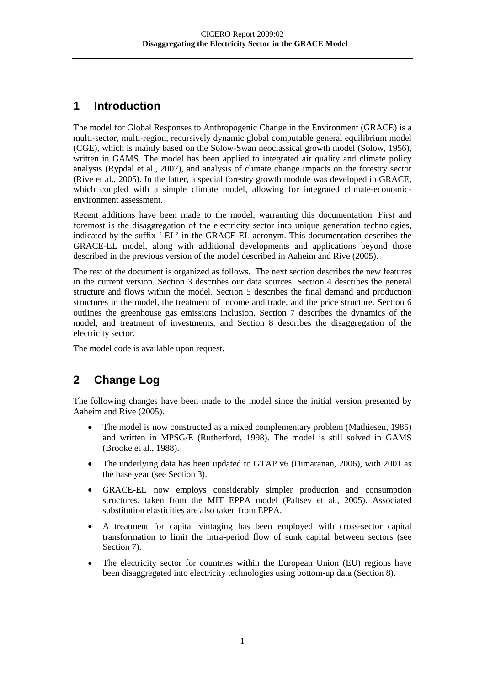# <span id="page-3-0"></span>**1 Introduction**

The model for Global Responses to Anthropogenic Change in the Environment (GRACE) is a multi-sector, multi-region, recursively dynamic global computable general equilibrium model (CGE), which is mainly based on the Solow-Swan neoclassical growth model (Solow, 1956), written in GAMS. The model has been applied to integrated air quality and climate policy analysis (Rypdal et al., 2007), and analysis of climate change impacts on the forestry sector (Rive et al., 2005). In the latter, a special forestry growth module was developed in GRACE, which coupled with a simple climate model, allowing for integrated climate-economicenvironment assessment.

Recent additions have been made to the model, warranting this documentation. First and foremost is the disaggregation of the electricity sector into unique generation technologies, indicated by the suffix '-EL' in the GRACE-EL acronym. This documentation describes the GRACE-EL model, along with additional developments and applications beyond those described in the previous version of the model described in Aaheim and Rive (2005).

The rest of the document is organized as follows. The next section describes the new features in the current version. Section 3 describes our data sources. Section 4 describes the general structure and flows within the model. Section 5 describes the final demand and production structures in the model, the treatment of income and trade, and the price structure. Section 6 outlines the greenhouse gas emissions inclusion, Section 7 describes the dynamics of the model, and treatment of investments, and Section 8 describes the disaggregation of the electricity sector.

<span id="page-3-1"></span>The model code is available upon request.

# **2 Change Log**

The following changes have been made to the model since the initial version presented by Aaheim and Rive (2005).

- The model is now constructed as a mixed complementary problem (Mathiesen, 1985) and written in MPSG/E (Rutherford, 1998). The model is still solved in GAMS (Brooke et al., 1988).
- The underlying data has been updated to GTAP v6 (Dimaranan, 2006), with 2001 as the base year (see Section 3).
- GRACE-EL now employs considerably simpler production and consumption structures, taken from the MIT EPPA model (Paltsev et al., 2005). Associated substitution elasticities are also taken from EPPA.
- A treatment for capital vintaging has been employed with cross-sector capital transformation to limit the intra-period flow of sunk capital between sectors (see Section 7).
- The electricity sector for countries within the European Union (EU) regions have been disaggregated into electricity technologies using bottom-up data (Section 8).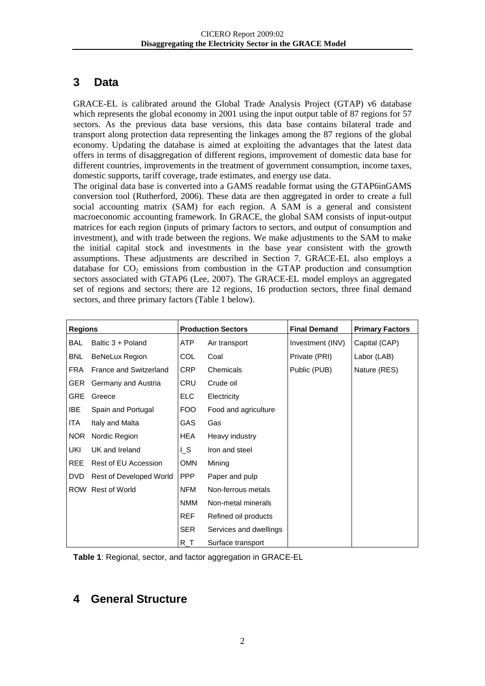# **3 Data**

<span id="page-4-0"></span>GRACE-EL is calibrated around the Global Trade Analysis Project (GTAP) v6 database which represents the global economy in 2001 using the input output table of 87 regions for 57 sectors. As the previous data base versions, this data base contains bilateral trade and transport along protection data representing the linkages among the 87 regions of the global economy. Updating the database is aimed at exploiting the advantages that the latest data offers in terms of disaggregation of different regions, improvement of domestic data base for different countries, improvements in the treatment of government consumption, income taxes, domestic supports, tariff coverage, trade estimates, and energy use data.

The original data base is converted into a GAMS readable format using the GTAP6inGAMS conversion tool (Rutherford, 2006). These data are then aggregated in order to create a full social accounting matrix (SAM) for each region. A SAM is a general and consistent macroeconomic accounting framework. In GRACE, the global SAM consists of input-output matrices for each region (inputs of primary factors to sectors, and output of consumption and investment), and with trade between the regions. We make adjustments to the SAM to make the initial capital stock and investments in the base year consistent with the growth assumptions. These adjustments are described in Section 7. GRACE-EL also employs a database for  $CO<sub>2</sub>$  emissions from combustion in the GTAP production and consumption sectors associated with GTAP6 (Lee, 2007). The GRACE-EL model employs an aggregated set of regions and sectors; there are 12 regions, 16 production sectors, three final demand sectors, and three primary factors [\(Table 1](#page-4-2) below).

| <b>Regions</b> |                               |                | <b>Production Sectors</b> | <b>Final Demand</b> | <b>Primary Factors</b> |
|----------------|-------------------------------|----------------|---------------------------|---------------------|------------------------|
| BAL            | Baltic 3 + Poland             | ATP            | Air transport             | Investment (INV)    | Capital (CAP)          |
| <b>BNL</b>     | <b>BeNeLux Region</b>         | COL            | Coal                      | Private (PRI)       | Labor (LAB)            |
| <b>FRA</b>     | <b>France and Switzerland</b> | <b>CRP</b>     | Chemicals                 | Public (PUB)        | Nature (RES)           |
| GER.           | Germany and Austria           | CRU            | Crude oil                 |                     |                        |
| GRE            | Greece                        | ELC.           | Electricity               |                     |                        |
| <b>IBE</b>     | Spain and Portugal            | FOO            | Food and agriculture      |                     |                        |
| ITA            | Italy and Malta               | GAS            | Gas                       |                     |                        |
| <b>NOR</b>     | Nordic Region                 | HEA            | Heavy industry            |                     |                        |
| UKI            | UK and Ireland                | L <sub>S</sub> | Iron and steel            |                     |                        |
| <b>REE</b>     | Rest of EU Accession          | <b>OMN</b>     | Mining                    |                     |                        |
| <b>DVD</b>     | Rest of Developed World       | PPP            | Paper and pulp            |                     |                        |
| <b>ROW</b>     | Rest of World                 | <b>NFM</b>     | Non-ferrous metals        |                     |                        |
|                |                               | <b>NMM</b>     | Non-metal minerals        |                     |                        |
|                |                               | <b>REF</b>     | Refined oil products      |                     |                        |
|                |                               | <b>SER</b>     | Services and dwellings    |                     |                        |
|                |                               | $R_T$          | Surface transport         |                     |                        |

<span id="page-4-2"></span>**Table 1**: Regional, sector, and factor aggregation in GRACE-EL

# <span id="page-4-1"></span>**4 General Structure**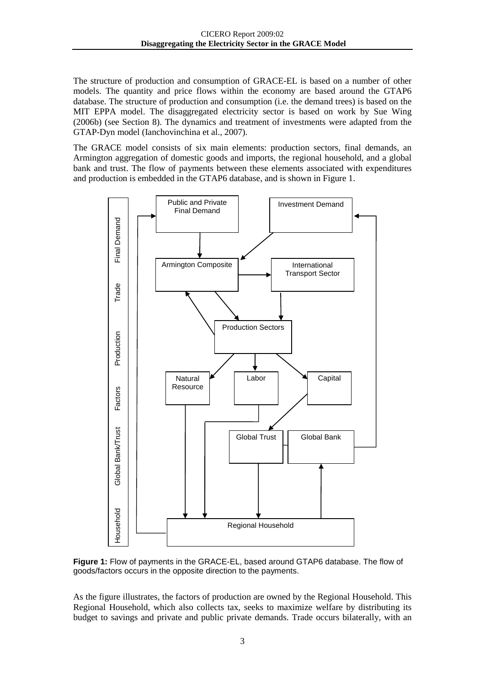The structure of production and consumption of GRACE-EL is based on a number of other models. The quantity and price flows within the economy are based around the GTAP6 database. The structure of production and consumption (i.e. the demand trees) is based on the MIT EPPA model. The disaggregated electricity sector is based on work by Sue Wing (2006b) (see Section 8). The dynamics and treatment of investments were adapted from the GTAP-Dyn model (Ianchovinchina et al., 2007).

The GRACE model consists of six main elements: production sectors, final demands, an Armington aggregation of domestic goods and imports, the regional household, and a global bank and trust. The flow of payments between these elements associated with expenditures and production is embedded in the GTAP6 database, and is shown in [Figure 1.](#page-5-0)



<span id="page-5-0"></span>**Figure 1:** Flow of payments in the GRACE-EL, based around GTAP6 database. The flow of goods/factors occurs in the opposite direction to the payments.

As the figure illustrates, the factors of production are owned by the Regional Household. This Regional Household, which also collects tax, seeks to maximize welfare by distributing its budget to savings and private and public private demands. Trade occurs bilaterally, with an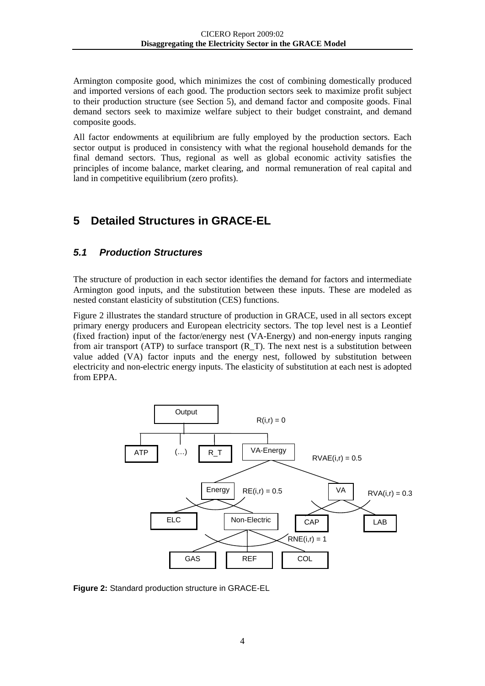Armington composite good, which minimizes the cost of combining domestically produced and imported versions of each good. The production sectors seek to maximize profit subject to their production structure (see Section 5), and demand factor and composite goods. Final demand sectors seek to maximize welfare subject to their budget constraint, and demand composite goods.

All factor endowments at equilibrium are fully employed by the production sectors. Each sector output is produced in consistency with what the regional household demands for the final demand sectors. Thus, regional as well as global economic activity satisfies the principles of income balance, market clearing, and normal remuneration of real capital and land in competitive equilibrium (zero profits).

# <span id="page-6-0"></span>**5 Detailed Structures in GRACE-EL**

#### <span id="page-6-1"></span>*5.1 Production Structures*

The structure of production in each sector identifies the demand for factors and intermediate Armington good inputs, and the substitution between these inputs. These are modeled as nested constant elasticity of substitution (CES) functions[.](#page-6-2)

[Figure](#page-6-2) 2 illustrates the standard structure of production in GRACE, used in all sectors except primary energy producers and European electricity sectors. The top level nest is a Leontief (fixed fraction) input of the factor/energy nest (VA-Energy) and non-energy inputs ranging from air transport (ATP) to surface transport (R\_T). The next nest is a substitution between value added (VA) factor inputs and the energy nest, followed by substitution between electricity and non-electric energy inputs. The elasticity of substitution at each nest is adopted from EPPA.

<span id="page-6-2"></span>

**Figure 2:** Standard production structure in GRACE-EL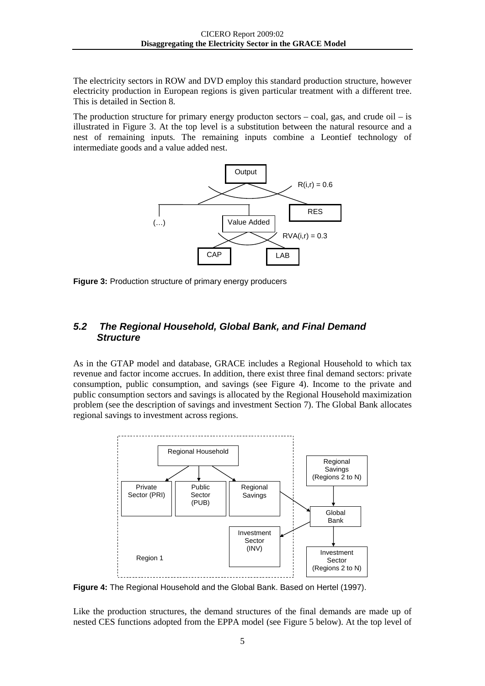The electricity sectors in ROW and DVD employ this standard production structure, however electricity production in European regions is given particular treatment with a different tree. This is detailed in Section 8.

The production structure for primary energy producton sectors  $-$  coal, gas, and crude oil  $-$  is illustrated in [Figure 3.](#page-7-1) At the top level is a substitution between the natural resource and a nest of remaining inputs. The remaining inputs combine a Leontief technology of intermediate goods and a value added nest.



<span id="page-7-1"></span>**Figure 3:** Production structure of primary energy producers

#### <span id="page-7-0"></span>*5.2 The Regional Household, Global Bank, and Final Demand Structure*

As in the GTAP model and database, GRACE includes a Regional Household to which tax revenue and factor income accrues. In addition, there exist three final demand sectors: private consumption, public consumption, and savings (see [Figure 4\)](#page-7-2). Income to the private and public consumption sectors and savings is allocated by the Regional Household maximization problem (see the description of savings and investment Section 7). The Global Bank allocates regional savings to investment across regions.



<span id="page-7-2"></span>**Figure 4:** The Regional Household and the Global Bank. Based on Hertel (1997).

Like the production structures, the demand structures of the final demands are made up of nested CES functions adopted from the EPPA model (see [Figure 5](#page-8-1) below). At the top level of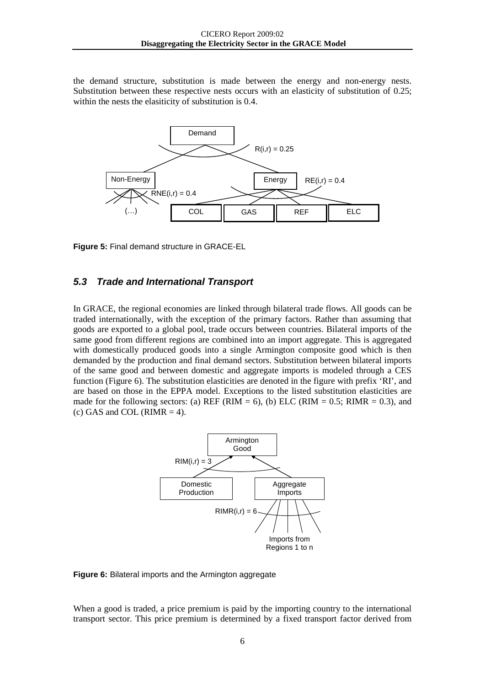the demand structure, substitution is made between the energy and non-energy nests. Substitution between these respective nests occurs with an elasticity of substitution of 0.25; within the nests the elasiticity of substitution is 0.4.



<span id="page-8-1"></span>**Figure 5:** Final demand structure in GRACE-EL

#### <span id="page-8-0"></span>*5.3 Trade and International Transport*

In GRACE, the regional economies are linked through bilateral trade flows. All goods can be traded internationally, with the exception of the primary factors. Rather than assuming that goods are exported to a global pool, trade occurs between countries. Bilateral imports of the same good from different regions are combined into an import aggregate. This is aggregated with domestically produced goods into a single Armington composite good which is then demanded by the production and final demand sectors. Substitution between bilateral imports of the same good and between domestic and aggregate imports is modeled through a CES function [\(Figure 6\)](#page-8-2). The substitution elasticities are denoted in the figure with prefix 'RI', and are based on those in the EPPA model. Exceptions to the listed substitution elasticities are made for the following sectors: (a) REF (RIM = 6), (b) ELC (RIM = 0.5; RIMR = 0.3), and (c) GAS and COL (RIMR  $=$  4).



<span id="page-8-2"></span>**Figure 6:** Bilateral imports and the Armington aggregate

When a good is traded, a price premium is paid by the importing country to the international transport sector. This price premium is determined by a fixed transport factor derived from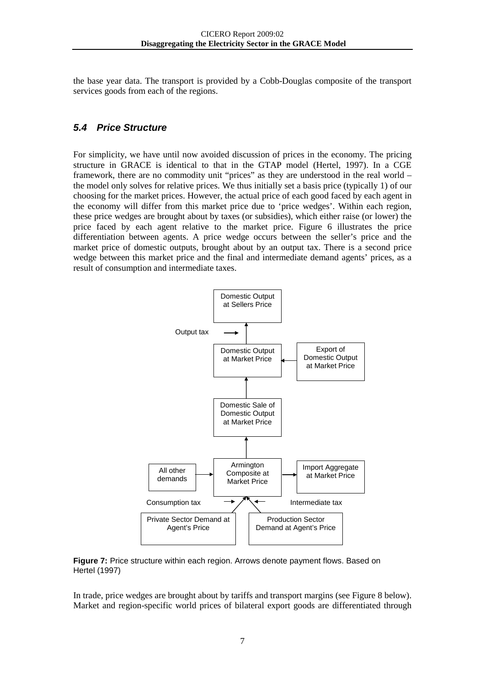the base year data. The transport is provided by a Cobb-Douglas composite of the transport services goods from each of the regions.

#### <span id="page-9-0"></span>*5.4 Price Structure*

For simplicity, we have until now avoided discussion of prices in the economy. The pricing structure in GRACE is identical to that in the GTAP model (Hertel, 1997). In a CGE framework, there are no commodity unit "prices" as they are understood in the real world – the model only solves for relative prices. We thus initially set a basis price (typically 1) of our choosing for the market prices. However, the actual price of each good faced by each agent in the economy will differ from this market price due to 'price wedges'. Within each region, these price wedges are brought about by taxes (or subsidies), which either raise (or lower) the price faced by each agent relative to the market price. Figure 6 illustrates the price differentiation between agents. A price wedge occurs between the seller's price and the market price of domestic outputs, brought about by an output tax. There is a second price wedge between this market price and the final and intermediate demand agents' prices, as a result of consumption and intermediate taxes.



**Figure 7:** Price structure within each region. Arrows denote payment flows. Based on Hertel (1997)

In trade, price wedges are brought about by tariffs and transport margins (see [Figure 8](#page-10-1) below). Market and region-specific world prices of bilateral export goods are differentiated through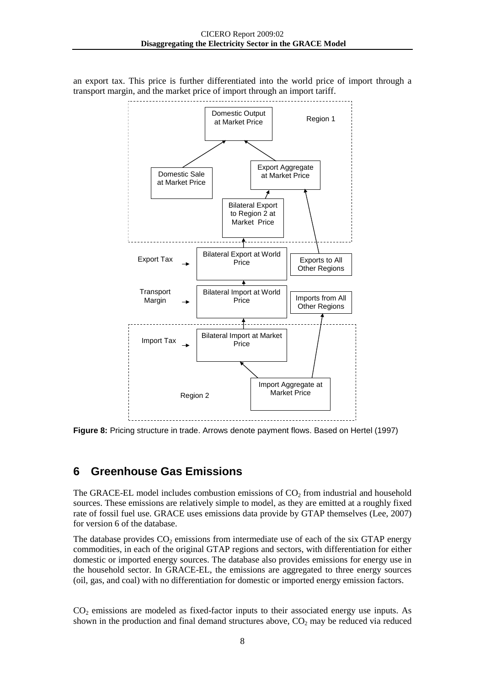

an export tax. This price is further differentiated into the world price of import through a transport margin, and the market price of import through an import tariff.

<span id="page-10-1"></span>**Figure 8:** Pricing structure in trade. Arrows denote payment flows. Based on Hertel (1997)

### <span id="page-10-0"></span>**6 Greenhouse Gas Emissions**

The GRACE-EL model includes combustion emissions of  $CO<sub>2</sub>$  from industrial and household sources. These emissions are relatively simple to model, as they are emitted at a roughly fixed rate of fossil fuel use. GRACE uses emissions data provide by GTAP themselves (Lee, 2007) for version 6 of the database.

The database provides  $CO<sub>2</sub>$  emissions from intermediate use of each of the six GTAP energy commodities, in each of the original GTAP regions and sectors, with differentiation for either domestic or imported energy sources. The database also provides emissions for energy use in the household sector. In GRACE-EL, the emissions are aggregated to three energy sources (oil, gas, and coal) with no differentiation for domestic or imported energy emission factors.

 $CO<sub>2</sub>$  emissions are modeled as fixed-factor inputs to their associated energy use inputs. As shown in the production and final demand structures above,  $CO<sub>2</sub>$  may be reduced via reduced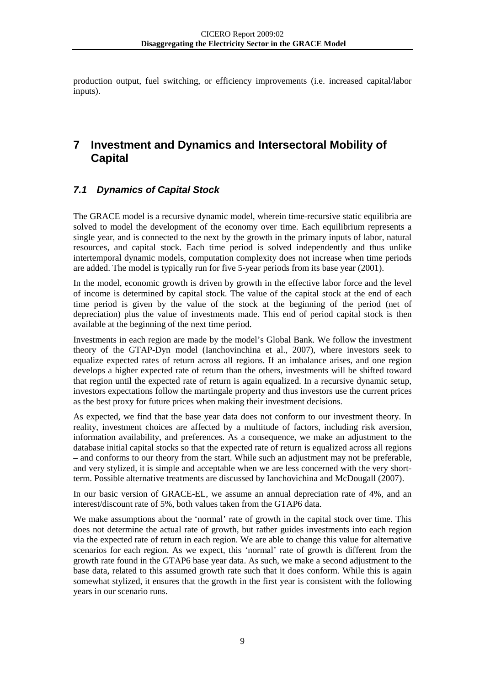production output, fuel switching, or efficiency improvements (i.e. increased capital/labor inputs).

# <span id="page-11-0"></span>**7 Investment and Dynamics and Intersectoral Mobility of Capital**

### <span id="page-11-1"></span>*7.1 Dynamics of Capital Stock*

The GRACE model is a recursive dynamic model, wherein time-recursive static equilibria are solved to model the development of the economy over time. Each equilibrium represents a single year, and is connected to the next by the growth in the primary inputs of labor, natural resources, and capital stock. Each time period is solved independently and thus unlike intertemporal dynamic models, computation complexity does not increase when time periods are added. The model is typically run for five 5-year periods from its base year (2001).

In the model, economic growth is driven by growth in the effective labor force and the level of income is determined by capital stock. The value of the capital stock at the end of each time period is given by the value of the stock at the beginning of the period (net of depreciation) plus the value of investments made. This end of period capital stock is then available at the beginning of the next time period.

Investments in each region are made by the model's Global Bank. We follow the investment theory of the GTAP-Dyn model (Ianchovinchina et al., 2007), where investors seek to equalize expected rates of return across all regions. If an imbalance arises, and one region develops a higher expected rate of return than the others, investments will be shifted toward that region until the expected rate of return is again equalized. In a recursive dynamic setup, investors expectations follow the martingale property and thus investors use the current prices as the best proxy for future prices when making their investment decisions.

As expected, we find that the base year data does not conform to our investment theory. In reality, investment choices are affected by a multitude of factors, including risk aversion, information availability, and preferences. As a consequence, we make an adjustment to the database initial capital stocks so that the expected rate of return is equalized across all regions – and conforms to our theory from the start. While such an adjustment may not be preferable, and very stylized, it is simple and acceptable when we are less concerned with the very shortterm. Possible alternative treatments are discussed by Ianchovichina and McDougall (2007).

In our basic version of GRACE-EL, we assume an annual depreciation rate of 4%, and an interest/discount rate of 5%, both values taken from the GTAP6 data.

We make assumptions about the 'normal' rate of growth in the capital stock over time. This does not determine the actual rate of growth, but rather guides investments into each region via the expected rate of return in each region. We are able to change this value for alternative scenarios for each region. As we expect, this 'normal' rate of growth is different from the growth rate found in the GTAP6 base year data. As such, we make a second adjustment to the base data, related to this assumed growth rate such that it does conform. While this is again somewhat stylized, it ensures that the growth in the first year is consistent with the following years in our scenario runs.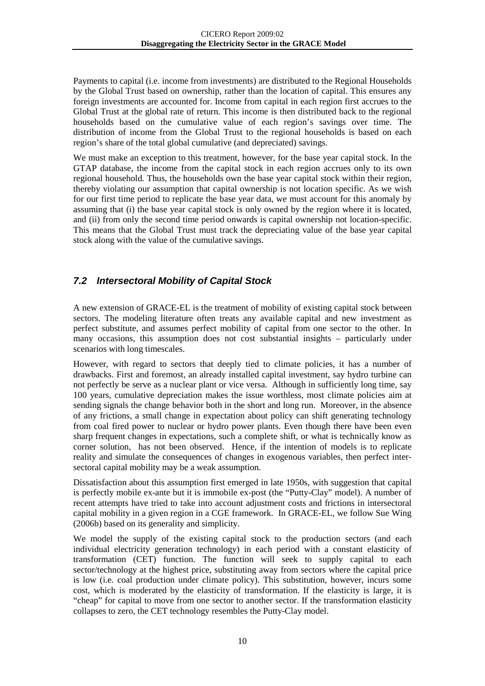Payments to capital (i.e. income from investments) are distributed to the Regional Households by the Global Trust based on ownership, rather than the location of capital. This ensures any foreign investments are accounted for. Income from capital in each region first accrues to the Global Trust at the global rate of return. This income is then distributed back to the regional households based on the cumulative value of each region's savings over time. The distribution of income from the Global Trust to the regional households is based on each region's share of the total global cumulative (and depreciated) savings.

We must make an exception to this treatment, however, for the base year capital stock. In the GTAP database, the income from the capital stock in each region accrues only to its own regional household. Thus, the households own the base year capital stock within their region, thereby violating our assumption that capital ownership is not location specific. As we wish for our first time period to replicate the base year data, we must account for this anomaly by assuming that (i) the base year capital stock is only owned by the region where it is located, and (ii) from only the second time period onwards is capital ownership not location-specific. This means that the Global Trust must track the depreciating value of the base year capital stock along with the value of the cumulative savings.

### <span id="page-12-0"></span>*7.2 Intersectoral Mobility of Capital Stock*

A new extension of GRACE-EL is the treatment of mobility of existing capital stock between sectors. The modeling literature often treats any available capital and new investment as perfect substitute, and assumes perfect mobility of capital from one sector to the other. In many occasions, this assumption does not cost substantial insights – particularly under scenarios with long timescales.

However, with regard to sectors that deeply tied to climate policies, it has a number of drawbacks. First and foremost, an already installed capital investment, say hydro turbine can not perfectly be serve as a nuclear plant or vice versa. Although in sufficiently long time, say 100 years, cumulative depreciation makes the issue worthless, most climate policies aim at sending signals the change behavior both in the short and long run. Moreover, in the absence of any frictions, a small change in expectation about policy can shift generating technology from coal fired power to nuclear or hydro power plants. Even though there have been even sharp frequent changes in expectations, such a complete shift, or what is technically know as corner solution, has not been observed. Hence, if the intention of models is to replicate reality and simulate the consequences of changes in exogenous variables, then perfect intersectoral capital mobility may be a weak assumption.

Dissatisfaction about this assumption first emerged in late 1950s, with suggestion that capital is perfectly mobile ex-ante but it is immobile ex-post (the "Putty-Clay" model). A number of recent attempts have tried to take into account adjustment costs and frictions in intersectoral capital mobility in a given region in a CGE framework. In GRACE-EL, we follow Sue Wing (2006b) based on its generality and simplicity.

We model the supply of the existing capital stock to the production sectors (and each individual electricity generation technology) in each period with a constant elasticity of transformation (CET) function. The function will seek to supply capital to each sector/technology at the highest price, substituting away from sectors where the capital price is low (i.e. coal production under climate policy). This substitution, however, incurs some cost, which is moderated by the elasticity of transformation. If the elasticity is large, it is "cheap" for capital to move from one sector to another sector. If the transformation elasticity collapses to zero, the CET technology resembles the Putty-Clay model.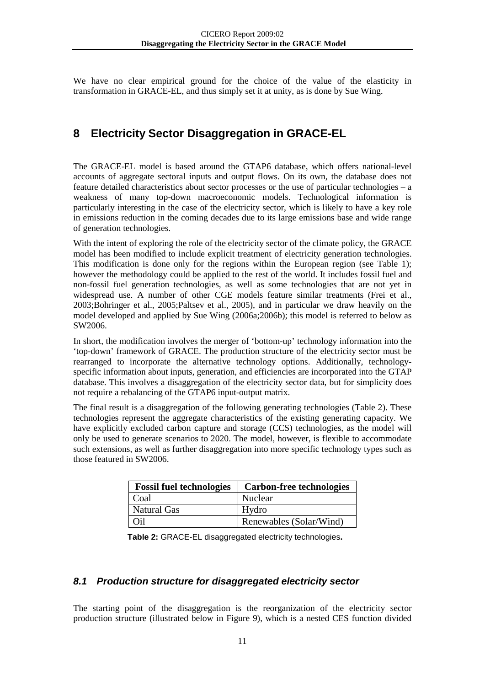We have no clear empirical ground for the choice of the value of the elasticity in transformation in GRACE-EL, and thus simply set it at unity, as is done by Sue Wing.

# <span id="page-13-0"></span>**8 Electricity Sector Disaggregation in GRACE-EL**

The GRACE-EL model is based around the GTAP6 database, which offers national-level accounts of aggregate sectoral inputs and output flows. On its own, the database does not feature detailed characteristics about sector processes or the use of particular technologies – a weakness of many top-down macroeconomic models. Technological information is particularly interesting in the case of the electricity sector, which is likely to have a key role in emissions reduction in the coming decades due to its large emissions base and wide range of generation technologies.

With the intent of exploring the role of the electricity sector of the climate policy, the GRACE model has been modified to include explicit treatment of electricity generation technologies. This modification is done only for the regions within the European region (see [Table 1\)](#page-4-2); however the methodology could be applied to the rest of the world. It includes fossil fuel and non-fossil fuel generation technologies, as well as some technologies that are not yet in widespread use. A number of other CGE models feature similar treatments (Frei et al., 2003;Bohringer et al., 2005;Paltsev et al., 2005), and in particular we draw heavily on the model developed and applied by Sue Wing (2006a;2006b); this model is referred to below as SW2006.

In short, the modification involves the merger of 'bottom-up' technology information into the 'top-down' framework of GRACE. The production structure of the electricity sector must be rearranged to incorporate the alternative technology options. Additionally, technologyspecific information about inputs, generation, and efficiencies are incorporated into the GTAP database. This involves a disaggregation of the electricity sector data, but for simplicity does not require a rebalancing of the GTAP6 input-output matrix.

The final result is a disaggregation of the following generating technologies [\(Table 2\)](#page-13-2). These technologies represent the aggregate characteristics of the existing generating capacity. We have explicitly excluded carbon capture and storage (CCS) technologies, as the model will only be used to generate scenarios to 2020. The model, however, is flexible to accommodate such extensions, as well as further disaggregation into more specific technology types such as those featured in SW2006.

| <b>Fossil fuel technologies</b> | Carbon-free technologies |
|---------------------------------|--------------------------|
| Coal                            | Nuclear                  |
| <b>Natural Gas</b>              | Hydro                    |
| Oil                             | Renewables (Solar/Wind)  |

 **Table 2:** GRACE-EL disaggregated electricity technologies**.**

### <span id="page-13-2"></span><span id="page-13-1"></span>*8.1 Production structure for disaggregated electricity sector*

The starting point of the disaggregation is the reorganization of the electricity sector production structure (illustrated below in [Figure 9\)](#page-14-0), which is a nested CES function divided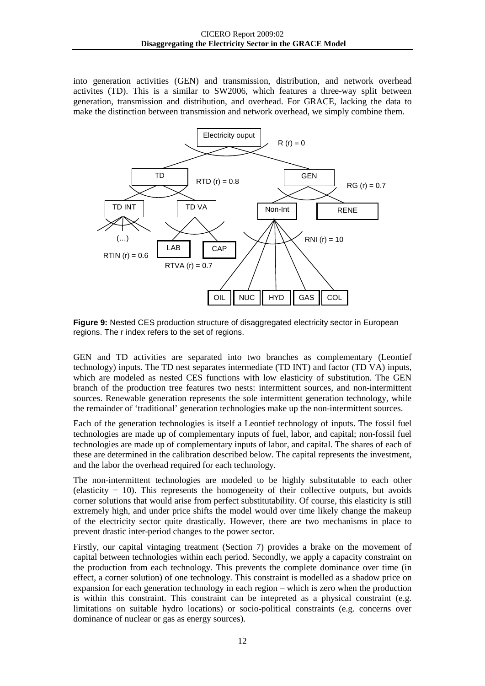into generation activities (GEN) and transmission, distribution, and network overhead activites (TD). This is a similar to SW2006, which features a three-way split between generation, transmission and distribution, and overhead. For GRACE, lacking the data to make the distinction between transmission and network overhead, we simply combine them.



<span id="page-14-0"></span>**Figure 9:** Nested CES production structure of disaggregated electricity sector in European regions. The r index refers to the set of regions.

GEN and TD activities are separated into two branches as complementary (Leontief technology) inputs. The TD nest separates intermediate (TD INT) and factor (TD VA) inputs, which are modeled as nested CES functions with low elasticity of substitution. The GEN branch of the production tree features two nests: intermittent sources, and non-intermittent sources. Renewable generation represents the sole intermittent generation technology, while the remainder of 'traditional' generation technologies make up the non-intermittent sources.

Each of the generation technologies is itself a Leontief technology of inputs. The fossil fuel technologies are made up of complementary inputs of fuel, labor, and capital; non-fossil fuel technologies are made up of complementary inputs of labor, and capital. The shares of each of these are determined in the calibration described below. The capital represents the investment, and the labor the overhead required for each technology.

The non-intermittent technologies are modeled to be highly substitutable to each other (elasticity  $= 10$ ). This represents the homogeneity of their collective outputs, but avoids corner solutions that would arise from perfect substitutability. Of course, this elasticity is still extremely high, and under price shifts the model would over time likely change the makeup of the electricity sector quite drastically. However, there are two mechanisms in place to prevent drastic inter-period changes to the power sector.

Firstly, our capital vintaging treatment (Section 7) provides a brake on the movement of capital between technologies within each period. Secondly, we apply a capacity constraint on the production from each technology. This prevents the complete dominance over time (in effect, a corner solution) of one technology. This constraint is modelled as a shadow price on expansion for each generation technology in each region – which is zero when the production is within this constraint. This constraint can be intepreted as a physical constraint (e.g. limitations on suitable hydro locations) or socio-political constraints (e.g. concerns over dominance of nuclear or gas as energy sources).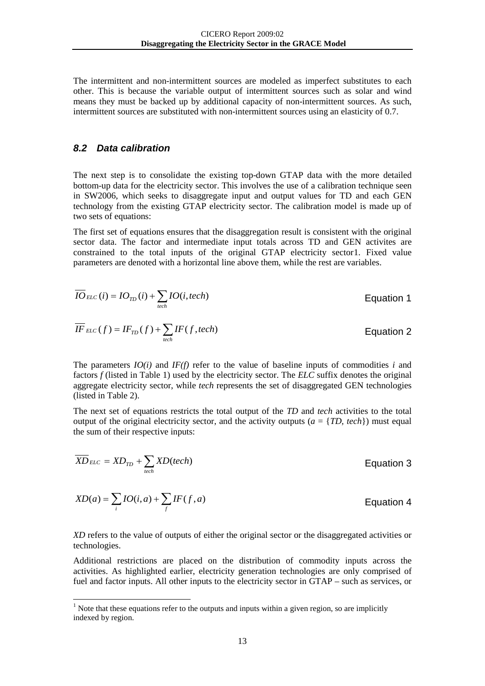The intermittent and non-intermittent sources are modeled as imperfect substitutes to each other. This is because the variable output of intermittent sources such as solar and wind means they must be backed up by additional capacity of non-intermittent sources. As such, intermittent sources are substituted with non-intermittent sources using an elasticity of 0.7.

#### <span id="page-15-0"></span>*8.2 Data calibration*

The next step is to consolidate the existing top-down GTAP data with the more detailed bottom-up data for the electricity sector. This involves the use of a calibration technique seen in SW2006, which seeks to disaggregate input and output values for TD and each GEN technology from the existing GTAP electricity sector. The calibration model is made up of two sets of equations:

The first set of equations ensures that the disaggregation result is consistent with the original sector data. The factor and intermediate input totals across TD and GEN activites are constrained to the total inputs of the original GTAP electricity sector[1](#page-15-1) . Fixed value parameters are denoted with a horizontal line above them, while the rest are variables.

$$
\overline{IO}_{ELC}(i) = IO_{TD}(i) + \sum_{tech} IO(i,tech)
$$
\n
$$
\overline{IF}_{ELC}(f) = IF_{TD}(f) + \sum_{tech} IF(f,tech)
$$
\nEquation 2

The parameters  $IO(i)$  and  $IF(f)$  refer to the value of baseline inputs of commodities *i* and factors *f* (listed in [Table 1\)](#page-4-2) used by the electricity sector. The *ELC* suffix denotes the original aggregate electricity sector, while *tech* represents the set of disaggregated GEN technologies (listed in [Table 2\)](#page-13-2).

The next set of equations restricts the total output of the *TD* and *tech* activities to the total output of the original electricity sector, and the activity outputs  $(a = \{TD, tech\})$  must equal the sum of their respective inputs:

$$
\overline{XD}_{ELC} = \overline{XD}_{TD} + \sum_{tech} \overline{XD}(tech)
$$
 Equation 3

$$
XD(a) = \sum_{i} IO(i, a) + \sum_{f} IF(f, a)
$$
 *Equation 4*

*XD* refers to the value of outputs of either the original sector or the disaggregated activities or technologies.

Additional restrictions are placed on the distribution of commodity inputs across the activities. As highlighted earlier, electricity generation technologies are only comprised of fuel and factor inputs. All other inputs to the electricity sector in GTAP – such as services, or

<span id="page-15-1"></span><sup>&</sup>lt;sup>1</sup> Note that these equations refer to the outputs and inputs within a given region, so are implicitly indexed by region.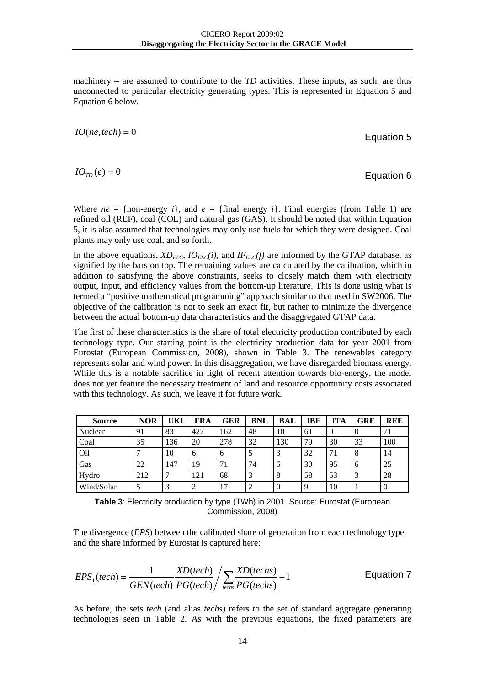machinery – are assumed to contribute to the *TD* activities. These inputs, as such, are thus unconnected to particular electricity generating types. This is represented in [Equation 5](#page-16-0) and [Equation 6](#page-16-1) below.

 *Equation 5* 

 *Equation 6* 

Where  $ne = \{non-energy \, i\}$ , and  $e = \{final \, energy \, i\}$ . Final energies (from [Table 1\)](#page-4-2) are refined oil (REF), coal (COL) and natural gas (GAS). It should be noted that within [Equation](#page-16-0)  [5,](#page-16-0) it is also assumed that technologies may only use fuels for which they were designed. Coal plants may only use coal, and so forth.

In the above equations,  $XD_{ELC}$ ,  $IO_{ELC}(i)$ , and  $IF_{ELC}(f)$  are informed by the GTAP database, as signified by the bars on top. The remaining values are calculated by the calibration, which in addition to satisfying the above constraints, seeks to closely match them with electricity output, input, and efficiency values from the bottom-up literature. This is done using what is termed a "positive mathematical programming" approach similar to that used in SW2006. The objective of the calibration is not to seek an exact fit, but rather to minimize the divergence between the actual bottom-up data characteristics and the disaggregated GTAP data.

The first of these characteristics is the share of total electricity production contributed by each technology type. Our starting point is the electricity production data for year 2001 from Eurostat (European Commission, 2008), shown in [Table 3.](#page-16-2) The renewables category represents solar and wind power. In this disaggregation, we have disregarded biomass energy. While this is a notable sacrifice in light of recent attention towards bio-energy, the model does not yet feature the necessary treatment of land and resource opportunity costs associated with this technology. As such, we leave it for future work.

| <b>Source</b> | <b>NOR</b> | UKI | FRA | <b>GER</b> | BNL | BAL | <b>IBE</b> | <b>ITA</b> | <b>GRE</b> | REE      |
|---------------|------------|-----|-----|------------|-----|-----|------------|------------|------------|----------|
| Nuclear       | 91         | 83  | 427 | 162        | 48  | 10  | 61         | v          |            | 71       |
| Coal          | 35         | 136 | 20  | 278        | 32  | 130 | 79         | 30         | 33         | 100      |
| Oil           |            | 10  | 6   | h          |     |     | 32         | 71         | 8          | 14       |
| Gas           | 22         | 147 | 19  | 71         | 74  | h   | 30         | 95         | O          | 25       |
| Hydro         | 212        | ┑   | 121 | 68         |     |     | 58         | 53         |            | 28       |
| Wind/Solar    |            | 3   | 2   | 17         |     |     | Q          | 10         |            | $\theta$ |

<span id="page-16-2"></span>**Table 3**: Electricity production by type (TWh) in 2001. Source: Eurostat (European Commission, 2008)

The divergence (*EPS*) between the calibrated share of generation from each technology type and the share informed by Eurostat is captured here:

$$
EPS_1(tech) = \frac{1}{GEN(tech)} \frac{XD(tech)}{PG(tech)} / \sum_{techs} \frac{XD(techs)}{PG(techs)} - 1
$$
 *Equation 7*

As before, the sets *tech* (and alias *techs*) refers to the set of standard aggregate generating technologies seen in [Table 2.](#page-13-2) As with the previous equations, the fixed parameters are

<span id="page-16-1"></span><span id="page-16-0"></span>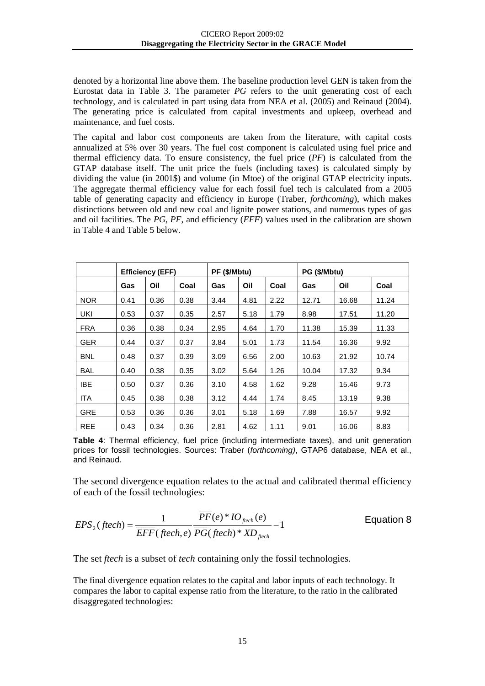denoted by a horizontal line above them. The baseline production level GEN is taken from the Eurostat data in [Table 3.](#page-16-2) The parameter *PG* refers to the unit generating cost of each technology, and is calculated in part using data from NEA et al. (2005) and Reinaud (2004). The generating price is calculated from capital investments and upkeep, overhead and maintenance, and fuel costs.

The capital and labor cost components are taken from the literature, with capital costs annualized at 5% over 30 years. The fuel cost component is calculated using fuel price and thermal efficiency data. To ensure consistency, the fuel price (*PF*) is calculated from the GTAP database itself. The unit price the fuels (including taxes) is calculated simply by dividing the value (in 2001\$) and volume (in Mtoe) of the original GTAP electricity inputs. The aggregate thermal efficiency value for each fossil fuel tech is calculated from a 2005 table of generating capacity and efficiency in Europe (Traber, *forthcoming*), which makes distinctions between old and new coal and lignite power stations, and numerous types of gas and oil facilities. The *PG*, *PF*, and efficiency (*EFF*) values used in the calibration are shown in [Table 4](#page-17-0) and [Table 5](#page-18-0) below.

|            | <b>Efficiency (EFF)</b> |      |      | PF (\$/Mbtu) |      |      | PG (\$/Mbtu) |       |       |
|------------|-------------------------|------|------|--------------|------|------|--------------|-------|-------|
|            | <b>Gas</b>              | Oil  | Coal | Gas          | Oil  | Coal | Gas          | Oil   | Coal  |
| <b>NOR</b> | 0.41                    | 0.36 | 0.38 | 3.44         | 4.81 | 2.22 | 12.71        | 16.68 | 11.24 |
| UKI        | 0.53                    | 0.37 | 0.35 | 2.57         | 5.18 | 1.79 | 8.98         | 17.51 | 11.20 |
| <b>FRA</b> | 0.36                    | 0.38 | 0.34 | 2.95         | 4.64 | 1.70 | 11.38        | 15.39 | 11.33 |
| <b>GER</b> | 0.44                    | 0.37 | 0.37 | 3.84         | 5.01 | 1.73 | 11.54        | 16.36 | 9.92  |
| <b>BNL</b> | 0.48                    | 0.37 | 0.39 | 3.09         | 6.56 | 2.00 | 10.63        | 21.92 | 10.74 |
| BAL        | 0.40                    | 0.38 | 0.35 | 3.02         | 5.64 | 1.26 | 10.04        | 17.32 | 9.34  |
| IBE        | 0.50                    | 0.37 | 0.36 | 3.10         | 4.58 | 1.62 | 9.28         | 15.46 | 9.73  |
| <b>ITA</b> | 0.45                    | 0.38 | 0.38 | 3.12         | 4.44 | 1.74 | 8.45         | 13.19 | 9.38  |
| <b>GRE</b> | 0.53                    | 0.36 | 0.36 | 3.01         | 5.18 | 1.69 | 7.88         | 16.57 | 9.92  |
| <b>REE</b> | 0.43                    | 0.34 | 0.36 | 2.81         | 4.62 | 1.11 | 9.01         | 16.06 | 8.83  |

<span id="page-17-0"></span>**Table 4**: Thermal efficiency, fuel price (including intermediate taxes), and unit generation prices for fossil technologies. Sources: Traber (*forthcoming)*, GTAP6 database, NEA et al., and Reinaud.

The second divergence equation relates to the actual and calibrated thermal efficiency of each of the fossil technologies:

$$
EPS_2(ftech) = \frac{1}{\overline{EFF}(ftech, e)} \frac{PF(e) * IO_{\text{ftech}}(e)}{PG(ftech) * ND_{\text{ftech}}} - 1
$$
 \tEquation 8

The set *ftech* is a subset of *tech* containing only the fossil technologies.

The final divergence equation relates to the capital and labor inputs of each technology. It compares the labor to capital expense ratio from the literature, to the ratio in the calibrated disaggregated technologies: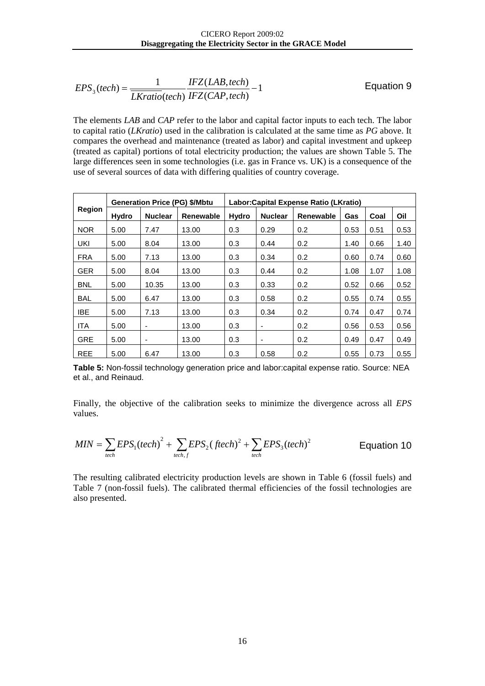$$
EPS3(tech) = \frac{1}{\overline{LKratio}(tech)} \frac{IFZ(LAB,tech)}{IFZ(CAP,tech)} - 1
$$
 *Equation 9*

The elements *LAB* and *CAP* refer to the labor and capital factor inputs to each tech. The labor to capital ratio (*LKratio*) used in the calibration is calculated at the same time as *PG* above. It compares the overhead and maintenance (treated as labor) and capital investment and upkeep (treated as capital) portions of total electricity production; the values are shown [Table 5.](#page-18-0) The large differences seen in some technologies (i.e. gas in France vs. UK) is a consequence of the use of several sources of data with differing qualities of country coverage.

|               |              |                | <b>Generation Price (PG) \$/Mbtu</b> | Labor: Capital Expense Ratio (LKratio) |                          |                  |      |      |      |  |
|---------------|--------------|----------------|--------------------------------------|----------------------------------------|--------------------------|------------------|------|------|------|--|
| <b>Region</b> | <b>Hydro</b> | <b>Nuclear</b> | <b>Renewable</b>                     | <b>Hydro</b>                           | <b>Nuclear</b>           | <b>Renewable</b> | Gas  | Coal | Oil  |  |
| <b>NOR</b>    | 5.00         | 7.47           | 13.00                                | 0.3                                    | 0.29                     | 0.2              | 0.53 | 0.51 | 0.53 |  |
| UKI           | 5.00         | 8.04           | 13.00                                | 0.3                                    | 0.44                     | 0.2              | 1.40 | 0.66 | 1.40 |  |
| <b>FRA</b>    | 5.00         | 7.13           | 13.00                                | 0.3                                    | 0.34                     | 0.2              | 0.60 | 0.74 | 0.60 |  |
| <b>GER</b>    | 5.00         | 8.04           | 13.00                                | 0.3                                    | 0.44                     | 0.2              | 1.08 | 1.07 | 1.08 |  |
| <b>BNL</b>    | 5.00         | 10.35          | 13.00                                | 0.3                                    | 0.33                     | 0.2              | 0.52 | 0.66 | 0.52 |  |
| <b>BAL</b>    | 5.00         | 6.47           | 13.00                                | 0.3                                    | 0.58                     | 0.2              | 0.55 | 0.74 | 0.55 |  |
| <b>IBE</b>    | 5.00         | 7.13           | 13.00                                | 0.3                                    | 0.34                     | 0.2              | 0.74 | 0.47 | 0.74 |  |
| <b>ITA</b>    | 5.00         | ۰              | 13.00                                | 0.3                                    | $\overline{\phantom{a}}$ | 0.2              | 0.56 | 0.53 | 0.56 |  |
| <b>GRE</b>    | 5.00         | ۰              | 13.00                                | 0.3                                    | $\overline{\phantom{0}}$ | 0.2              | 0.49 | 0.47 | 0.49 |  |
| <b>REE</b>    | 5.00         | 6.47           | 13.00                                | 0.3                                    | 0.58                     | 0.2              | 0.55 | 0.73 | 0.55 |  |

<span id="page-18-0"></span>**Table 5:** Non-fossil technology generation price and labor:capital expense ratio. Source: NEA et al., and Reinaud.

Finally, the objective of the calibration seeks to minimize the divergence across all *EPS* values.

$$
MIN = \sum_{tech} EPS_1(tech)^2 + \sum_{tech, f} EPS_2 (ftech)^2 + \sum_{tech} EPS_3(tech)^2
$$
 Equation 10

The resulting calibrated electricity production levels are shown in [Table 6](#page-19-0) (fossil fuels) and [Table 7](#page-19-1) (non-fossil fuels). The calibrated thermal efficiencies of the fossil technologies are also presented.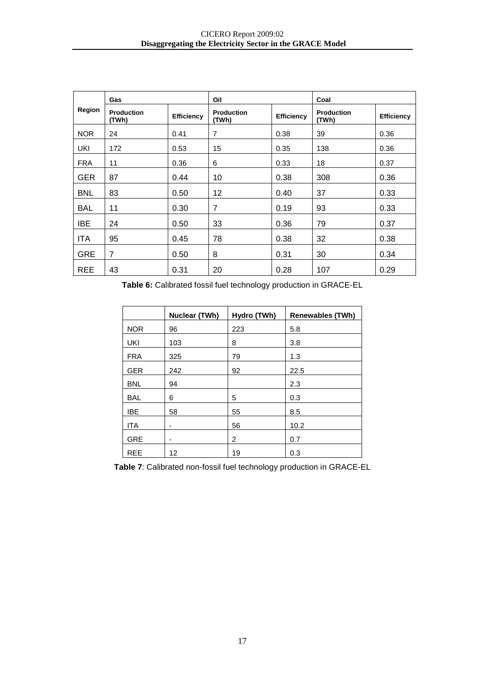|            | Gas                        |                   | Oil                        |                   | Coal                       |                   |
|------------|----------------------------|-------------------|----------------------------|-------------------|----------------------------|-------------------|
| Region     | <b>Production</b><br>(TWh) | <b>Efficiency</b> | <b>Production</b><br>(TWh) | <b>Efficiency</b> | <b>Production</b><br>(TWh) | <b>Efficiency</b> |
| NOR.       | 24                         | 0.41              | 7                          | 0.38              | 39                         | 0.36              |
| UKI        | 172                        | 0.53              | 15                         | 0.35              | 138                        | 0.36              |
| <b>FRA</b> | 11                         | 0.36              | 6                          | 0.33              | 18                         | 0.37              |
| <b>GER</b> | 87                         | 0.44              | 10                         | 0.38              | 308                        | 0.36              |
| <b>BNL</b> | 83                         | 0.50              | 12                         | 0.40              | 37                         | 0.33              |
| BAL        | 11                         | 0.30              | 7                          | 0.19              | 93                         | 0.33              |
| <b>IBE</b> | 24                         | 0.50              | 33                         | 0.36              | 79                         | 0.37              |
| <b>ITA</b> | 95                         | 0.45              | 78                         | 0.38              | 32                         | 0.38              |
| <b>GRE</b> | $\overline{7}$             | 0.50              | 8                          | 0.31              | 30                         | 0.34              |
| <b>REE</b> | 43                         | 0.31              | 20                         | 0.28              | 107                        | 0.29              |

<span id="page-19-0"></span>**Table 6:** Calibrated fossil fuel technology production in GRACE-EL

|            | Nuclear (TWh) | Hydro (TWh) | <b>Renewables (TWh)</b> |
|------------|---------------|-------------|-------------------------|
| <b>NOR</b> | 96            | 223         | 5.8                     |
| UKI        | 103           | 8           | 3.8                     |
| <b>FRA</b> | 325           | 79          | 1.3                     |
| <b>GER</b> | 242           | 92          | 22.5                    |
| <b>BNL</b> | 94            |             | 2.3                     |
| <b>BAL</b> | 6             | 5           | 0.3                     |
| <b>IBE</b> | 58            | 55          | 8.5                     |
| <b>ITA</b> | ٠             | 56          | 10.2                    |
| <b>GRE</b> | -             | 2           | 0.7                     |
| <b>REE</b> | 12            | 19          | 0.3                     |

<span id="page-19-1"></span>**Table 7**: Calibrated non-fossil fuel technology production in GRACE-EL